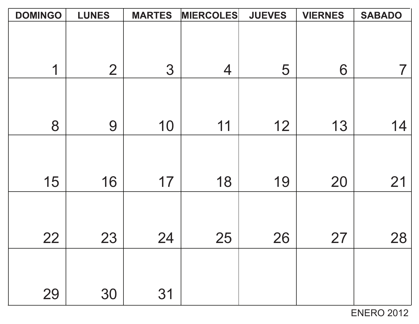| <b>DOMINGO</b> | <b>LUNES</b>   | <b>MARTES</b> | <b>MIERCOLES</b> | <b>JUEVES</b> | <b>VIERNES</b> | <b>SABADO</b> |
|----------------|----------------|---------------|------------------|---------------|----------------|---------------|
|                |                |               |                  |               |                |               |
|                |                |               |                  |               |                |               |
|                |                |               |                  |               |                |               |
| 1              | $\overline{2}$ | 3             | $\overline{4}$   | 5             | 6              |               |
|                |                |               |                  |               |                |               |
|                |                |               |                  |               |                |               |
| 8              | 9              | 10            | 11               | 12            | 13             | 14            |
|                |                |               |                  |               |                |               |
|                |                |               |                  |               |                |               |
|                |                |               |                  |               |                |               |
| 15             | 16             | 17            | 18               | 19            | 20             | 21            |
|                |                |               |                  |               |                |               |
|                |                |               |                  |               |                |               |
|                |                |               |                  |               |                |               |
| 22             | 23             | 24            | 25               | 26            | 27             | 28            |
|                |                |               |                  |               |                |               |
|                |                |               |                  |               |                |               |
|                |                |               |                  |               |                |               |
| 29             | 30             | 31            |                  |               |                |               |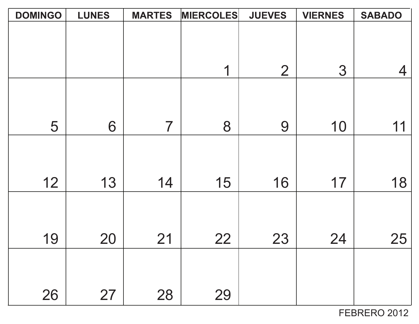| <b>DOMINGO</b> | <b>LUNES</b> | <b>MARTES</b> | <b>MIERCOLES</b> | <b>JUEVES</b>  | <b>VIERNES</b> | <b>SABADO</b> |
|----------------|--------------|---------------|------------------|----------------|----------------|---------------|
|                |              |               |                  |                |                |               |
|                |              |               |                  |                |                |               |
|                |              |               |                  |                |                |               |
|                |              |               | 1                | $\overline{2}$ | 3              | 4             |
|                |              |               |                  |                |                |               |
|                |              |               |                  |                |                |               |
| 5              | 6            | 7             | 8                | 9              | 10             | 11            |
|                |              |               |                  |                |                |               |
|                |              |               |                  |                |                |               |
|                |              |               |                  |                |                |               |
| 12             | 13           | 14            | 15               | 16             | 17             | 18            |
|                |              |               |                  |                |                |               |
|                |              |               |                  |                |                |               |
|                |              |               |                  |                |                |               |
| 19             | 20           | 21            | 22               | 23             | 24             | 25            |
|                |              |               |                  |                |                |               |
|                |              |               |                  |                |                |               |
| 26             | 27           | 28            | 29               |                |                |               |
|                |              |               |                  |                |                |               |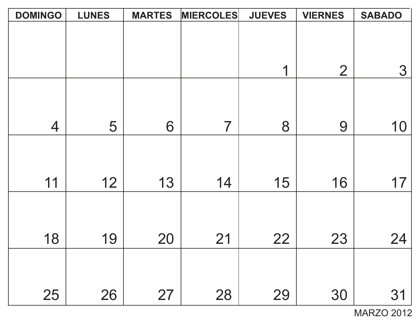| <b>DOMINGO</b> | <b>LUNES</b> | <b>MARTES</b> | <b>MIERCOLES</b> | <b>JUEVES</b> | <b>VIERNES</b> | <b>SABADO</b> |
|----------------|--------------|---------------|------------------|---------------|----------------|---------------|
|                |              |               |                  |               |                |               |
|                |              |               |                  |               |                |               |
|                |              |               |                  |               |                |               |
|                |              |               |                  | 1             | $\overline{2}$ | 3             |
|                |              |               |                  |               |                |               |
|                |              |               |                  |               |                |               |
|                |              |               |                  |               |                |               |
| $\overline{4}$ | 5            | 6             | 7                | 8             | 9              | 10            |
|                |              |               |                  |               |                |               |
|                |              |               |                  |               |                |               |
|                |              |               |                  |               |                |               |
| 11             | 12           | 13            | 14               | 15            | 16             | 17            |
|                |              |               |                  |               |                |               |
|                |              |               |                  |               |                |               |
|                |              |               |                  |               |                |               |
| 18             | 19           | 20            | 21               | 22            | 23             | 24            |
|                |              |               |                  |               |                |               |
|                |              |               |                  |               |                |               |
| 25             | 26           | 27            | 28               | 29            | 30             | 31            |
|                |              |               |                  |               |                |               |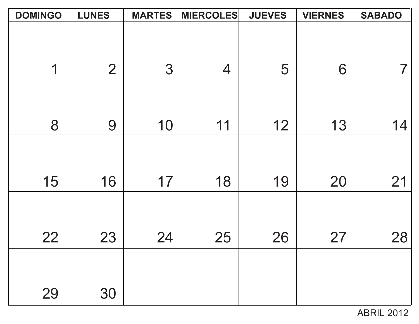| <b>DOMINGO</b> | <b>LUNES</b>   | <b>MARTES</b> | <b>MIERCOLES</b> | <b>JUEVES</b> | <b>VIERNES</b> | <b>SABADO</b> |
|----------------|----------------|---------------|------------------|---------------|----------------|---------------|
|                |                |               |                  |               |                |               |
|                |                |               |                  |               |                |               |
|                |                |               |                  |               |                |               |
| 1              | $\overline{2}$ | 3             | $\overline{4}$   | 5             | 6              |               |
|                |                |               |                  |               |                |               |
|                |                |               |                  |               |                |               |
|                |                |               |                  |               |                |               |
| 8              | 9              | 10            | 11               | 12            | 13             | 14            |
|                |                |               |                  |               |                |               |
|                |                |               |                  |               |                |               |
| 15             | 16             | 17            | 18               | 19            | 20             | 21            |
|                |                |               |                  |               |                |               |
|                |                |               |                  |               |                |               |
|                |                |               |                  |               |                |               |
| 22             | 23             | 24            | 25               | 26            | 27             | 28            |
|                |                |               |                  |               |                |               |
|                |                |               |                  |               |                |               |
|                |                |               |                  |               |                |               |
| 29             | 30             |               |                  |               |                |               |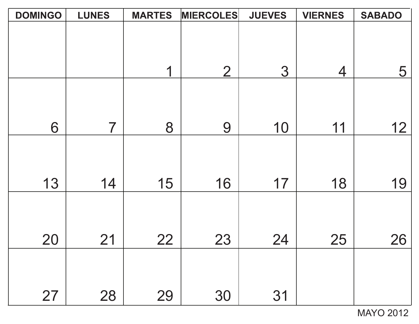| <b>DOMINGO</b> | <b>LUNES</b> | <b>MARTES</b> | <b>MIERCOLES</b> | <b>JUEVES</b> | <b>VIERNES</b> | <b>SABADO</b> |
|----------------|--------------|---------------|------------------|---------------|----------------|---------------|
|                |              |               |                  |               |                |               |
|                |              |               |                  |               |                |               |
|                |              |               |                  |               |                |               |
|                |              | 1             | $\overline{2}$   | 3             | $\overline{4}$ | 5             |
|                |              |               |                  |               |                |               |
|                |              |               |                  |               |                |               |
| 6              | 7            | 8             | 9                | 10            | 11             | 12            |
|                |              |               |                  |               |                |               |
|                |              |               |                  |               |                |               |
| 13             | 14           | 15            | 16               | 17            | 18             | 19            |
|                |              |               |                  |               |                |               |
|                |              |               |                  |               |                |               |
|                |              |               |                  |               |                |               |
| 20             | 21           | 22            | 23               | 24            | 25             | 26            |
|                |              |               |                  |               |                |               |
|                |              |               |                  |               |                |               |
| 27             | 28           | 29            | 30               | 31            |                |               |
|                |              |               |                  |               |                |               |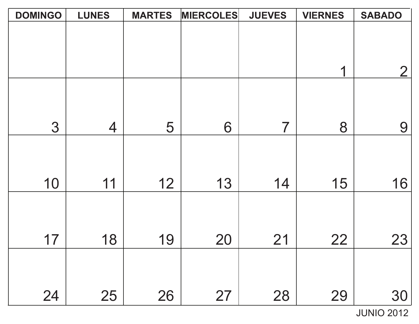| <b>DOMINGO</b> | <b>LUNES</b>   | <b>MARTES</b> | <b>MIERCOLES</b> | <b>JUEVES</b> | <b>VIERNES</b> | <b>SABADO</b>  |
|----------------|----------------|---------------|------------------|---------------|----------------|----------------|
|                |                |               |                  |               |                |                |
|                |                |               |                  |               |                |                |
|                |                |               |                  |               |                |                |
|                |                |               |                  |               | 1              | $\overline{2}$ |
|                |                |               |                  |               |                |                |
|                |                |               |                  |               |                |                |
|                |                |               |                  | 7             |                |                |
| 3              | $\overline{4}$ | 5             | 6                |               | 8              | 9              |
|                |                |               |                  |               |                |                |
|                |                |               |                  |               |                |                |
| 10             | 11             | 12            | 13               | 14            | 15             | 16             |
|                |                |               |                  |               |                |                |
|                |                |               |                  |               |                |                |
|                |                |               |                  |               |                |                |
| 17             | 18             | 19            | <b>20</b>        | 21            | 22             | 23             |
|                |                |               |                  |               |                |                |
|                |                |               |                  |               |                |                |
|                |                |               |                  |               |                |                |
| 24             | 25             | 26            | 27               | 28            | 29             | 30             |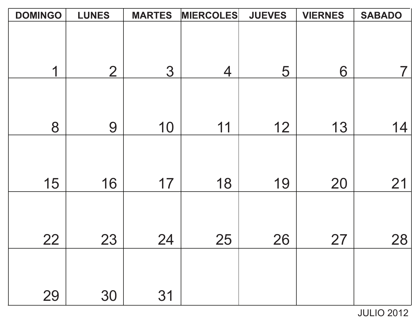| <b>DOMINGO</b> | <b>LUNES</b>   | <b>MARTES</b> | <b>MIERCOLES</b> | <b>JUEVES</b> | <b>VIERNES</b> | <b>SABADO</b> |
|----------------|----------------|---------------|------------------|---------------|----------------|---------------|
|                |                |               |                  |               |                |               |
|                |                |               |                  |               |                |               |
|                |                |               |                  |               |                |               |
| 1              | $\overline{2}$ | 3             | $\overline{4}$   | 5             | 6              |               |
|                |                |               |                  |               |                |               |
|                |                |               |                  |               |                |               |
| 8              | 9              | 10            | 11               | 12            | 13             | 14            |
|                |                |               |                  |               |                |               |
|                |                |               |                  |               |                |               |
|                |                |               |                  |               |                |               |
| 15             | 16             | 17            | 18               | 19            | 20             | 21            |
|                |                |               |                  |               |                |               |
|                |                |               |                  |               |                |               |
| 22             | 23             | 24            | 25               | 26            | 27             | 28            |
|                |                |               |                  |               |                |               |
|                |                |               |                  |               |                |               |
| 29             | 30             | 31            |                  |               |                |               |
|                |                |               |                  |               |                |               |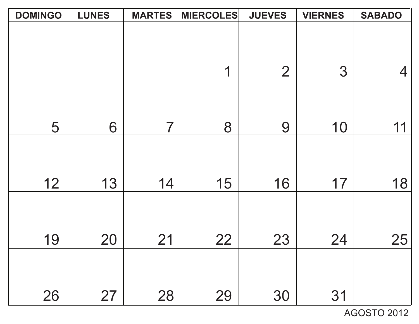| <b>DOMINGO</b> | <b>LUNES</b> | <b>MARTES</b>  | <b>MIERCOLES</b> | <b>JUEVES</b>  | <b>VIERNES</b> | <b>SABADO</b> |
|----------------|--------------|----------------|------------------|----------------|----------------|---------------|
|                |              |                |                  |                |                |               |
|                |              |                |                  |                |                |               |
|                |              |                | 1                | $\overline{2}$ | 3              | 4             |
|                |              |                |                  |                |                |               |
|                |              |                |                  |                |                |               |
| 5              | 6            | $\overline{7}$ | 8                | 9              | 10             | 11            |
|                |              |                |                  |                |                |               |
|                |              |                |                  |                |                |               |
| 12             | 13           | 14             | 15               | 16             | 17             | 18            |
|                |              |                |                  |                |                |               |
|                |              |                |                  |                |                |               |
| 19             | 20           | 21             | 22               | 23             | 24             | 25            |
|                |              |                |                  |                |                |               |
|                |              |                |                  |                |                |               |
| 26             | 27           | 28             | 29               | 30             | 31             |               |

AGOSTO 2012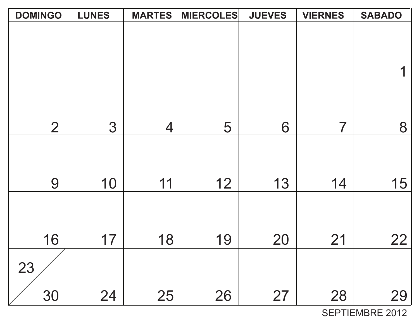| <b>DOMINGO</b> | <b>LUNES</b> | <b>MARTES</b>  | <b>MIERCOLES</b> | <b>JUEVES</b> | <b>VIERNES</b> | <b>SABADO</b> |
|----------------|--------------|----------------|------------------|---------------|----------------|---------------|
|                |              |                |                  |               |                |               |
|                |              |                |                  |               |                |               |
|                |              |                |                  |               |                |               |
|                |              |                |                  |               |                |               |
|                |              |                |                  |               |                |               |
| $\overline{2}$ | 3            | $\overline{4}$ | 5                | 6             | 7              | 8             |
|                |              |                |                  |               |                |               |
|                |              |                |                  |               |                |               |
| 9              | 10           | 11             | 12               | 13            | 14             | 15            |
|                |              |                |                  |               |                |               |
|                |              |                |                  |               |                |               |
| 16             | 17           | 18             | 19               | 20            | 21             | 22            |
|                |              |                |                  |               |                |               |
| 23             |              |                |                  |               |                |               |
| 30             | 24           | 25             | 26               | 27            | 28             | 29            |

SEPTIEMBRE 2012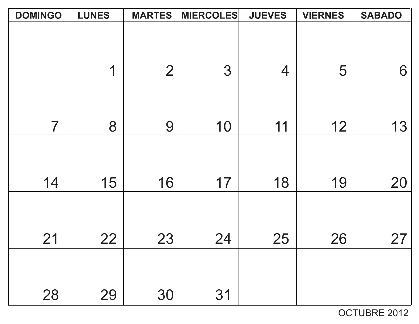| <b>DOMINGO</b> | <b>LUNES</b> | <b>MARTES</b>  | <b>MIERCOLES</b> | <b>JUEVES</b> | <b>VIERNES</b> | <b>SABADO</b> |
|----------------|--------------|----------------|------------------|---------------|----------------|---------------|
|                |              |                |                  |               |                |               |
|                |              |                |                  |               |                |               |
|                |              |                |                  |               |                |               |
|                | 1            | $\overline{2}$ | 3                | 4             | 5              | 6             |
|                |              |                |                  |               |                |               |
|                |              |                |                  |               |                |               |
|                |              |                |                  |               |                |               |
| 7              | 8            | 9              | 10               | 11            | 12             | 13            |
|                |              |                |                  |               |                |               |
|                |              |                |                  |               |                |               |
| 14             | 15           | 16             | 17               | 18            | 19             | 20            |
|                |              |                |                  |               |                |               |
|                |              |                |                  |               |                |               |
|                |              |                |                  |               |                |               |
| 21             | 22           | 23             | 24               | 25            | 26             | 27            |
|                |              |                |                  |               |                |               |
|                |              |                |                  |               |                |               |
|                |              |                |                  |               |                |               |
| 28             | 29           | 30             | 31               |               |                |               |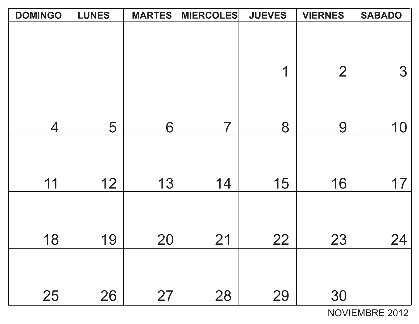| <b>DOMINGO</b> | <b>LUNES</b> | <b>MARTES</b> | <b>MIERCOLES</b> | <b>JUEVES</b> | <b>VIERNES</b> | <b>SABADO</b> |
|----------------|--------------|---------------|------------------|---------------|----------------|---------------|
|                |              |               |                  |               |                |               |
|                |              |               |                  |               |                |               |
|                |              |               |                  |               |                |               |
|                |              |               |                  | 1             | $\overline{2}$ | 3             |
|                |              |               |                  |               |                |               |
|                |              |               |                  |               |                |               |
|                |              |               |                  |               |                |               |
| $\overline{4}$ | 5            | 6             | 7                | 8             | 9              | 10            |
|                |              |               |                  |               |                |               |
|                |              |               |                  |               |                |               |
|                |              |               |                  |               |                |               |
| 11             | 12           | 13            | 14               | 15            | 16             | 17            |
|                |              |               |                  |               |                |               |
|                |              |               |                  |               |                |               |
|                |              |               |                  |               |                |               |
| 18             | 19           | 20            | 21               | 22            | 23             | 24            |
|                |              |               |                  |               |                |               |
|                |              |               |                  |               |                |               |
|                |              |               |                  |               |                |               |
| 25             | 26           | 27            | 28               | 29            | 30             |               |